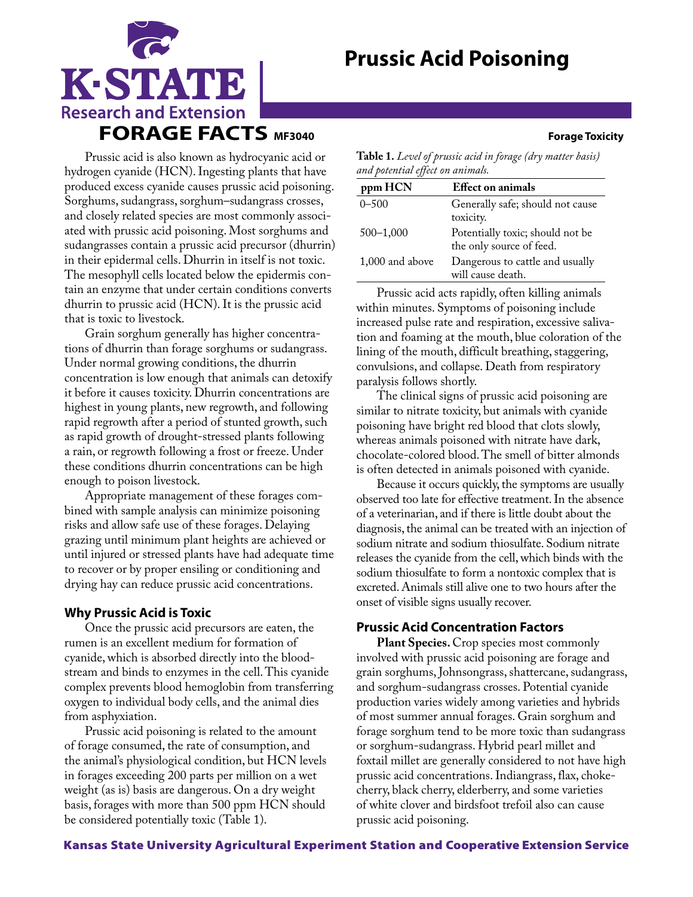# **Prussic Acid Poisoning**



Prussic acid is also known as hydrocyanic acid or hydrogen cyanide (HCN). Ingesting plants that have produced excess cyanide causes prussic acid poisoning. Sorghums, sudangrass, sorghum–sudangrass crosses, and closely related species are most commonly associated with prussic acid poisoning. Most sorghums and sudangrasses contain a prussic acid precursor (dhurrin) in their epidermal cells. Dhurrin in itself is not toxic. The mesophyll cells located below the epidermis contain an enzyme that under certain conditions converts dhurrin to prussic acid (HCN). It is the prussic acid that is toxic to livestock.

Grain sorghum generally has higher concentrations of dhurrin than forage sorghums or sudangrass. Under normal growing conditions, the dhurrin concentration is low enough that animals can detoxify it before it causes toxicity. Dhurrin concentrations are highest in young plants, new regrowth, and following rapid regrowth after a period of stunted growth, such as rapid growth of drought-stressed plants following a rain, or regrowth following a frost or freeze. Under these conditions dhurrin concentrations can be high enough to poison livestock.

Appropriate management of these forages combined with sample analysis can minimize poisoning risks and allow safe use of these forages. Delaying grazing until minimum plant heights are achieved or until injured or stressed plants have had adequate time to recover or by proper ensiling or conditioning and drying hay can reduce prussic acid concentrations.

### **Why Prussic Acid is Toxic**

Once the prussic acid precursors are eaten, the rumen is an excellent medium for formation of cyanide, which is absorbed directly into the bloodstream and binds to enzymes in the cell. This cyanide complex prevents blood hemoglobin from transferring oxygen to individual body cells, and the animal dies from asphyxiation.

Prussic acid poisoning is related to the amount of forage consumed, the rate of consumption, and the animal's physiological condition, but HCN levels in forages exceeding 200 parts per million on a wet weight (as is) basis are dangerous. On a dry weight basis, forages with more than 500 ppm HCN should be considered potentially toxic (Table 1).

**Table 1.** *Level of prussic acid in forage (dry matter basis) and potential effect on animals.*

| ppm HCN         | <b>Effect on animals</b>         |
|-----------------|----------------------------------|
| $0 - 500$       | Generally safe; should not cause |
|                 | toxicity.                        |
| $500 - 1,000$   | Potentially toxic; should not be |
|                 | the only source of feed.         |
| 1,000 and above | Dangerous to cattle and usually  |
|                 | will cause death.                |

Prussic acid acts rapidly, often killing animals within minutes. Symptoms of poisoning include increased pulse rate and respiration, excessive salivation and foaming at the mouth, blue coloration of the lining of the mouth, difficult breathing, staggering, convulsions, and collapse. Death from respiratory paralysis follows shortly.

The clinical signs of prussic acid poisoning are similar to nitrate toxicity, but animals with cyanide poisoning have bright red blood that clots slowly, whereas animals poisoned with nitrate have dark, chocolate-colored blood. The smell of bitter almonds is often detected in animals poisoned with cyanide.

Because it occurs quickly, the symptoms are usually observed too late for effective treatment. In the absence of a veterinarian, and if there is little doubt about the diagnosis, the animal can be treated with an injection of sodium nitrate and sodium thiosulfate. Sodium nitrate releases the cyanide from the cell, which binds with the sodium thiosulfate to form a nontoxic complex that is excreted. Animals still alive one to two hours after the onset of visible signs usually recover.

## **Prussic Acid Concentration Factors**

**Plant Species.** Crop species most commonly involved with prussic acid poisoning are forage and grain sorghums, Johnsongrass, shattercane, sudangrass, and sorghum-sudangrass crosses. Potential cyanide production varies widely among varieties and hybrids of most summer annual forages. Grain sorghum and forage sorghum tend to be more toxic than sudangrass or sorghum-sudangrass. Hybrid pearl millet and foxtail millet are generally considered to not have high prussic acid concentrations. Indiangrass, flax, chokecherry, black cherry, elderberry, and some varieties of white clover and birdsfoot trefoil also can cause prussic acid poisoning.